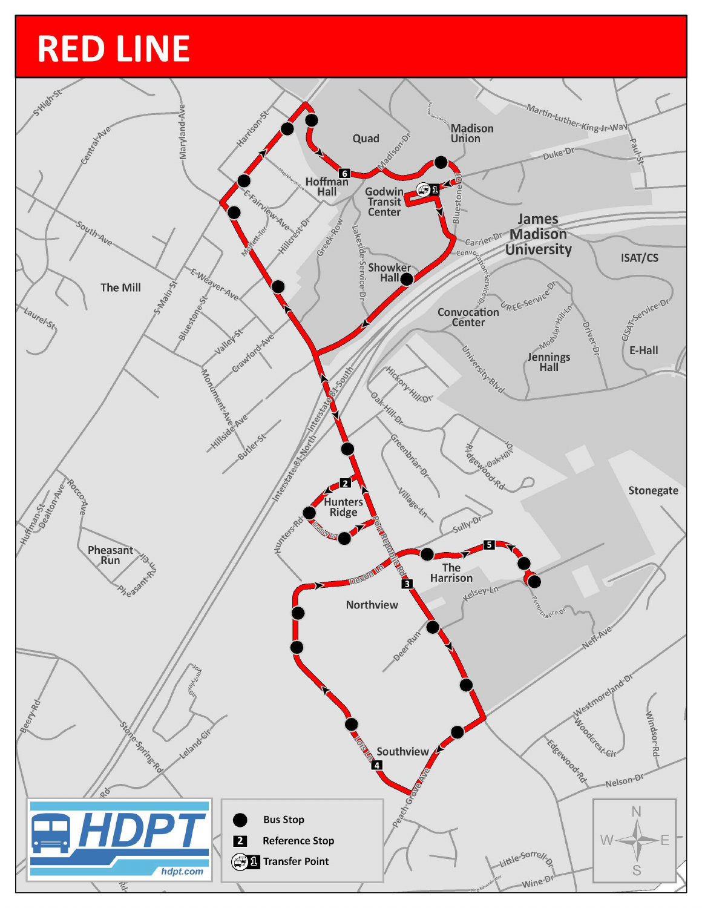## **RED LINE**